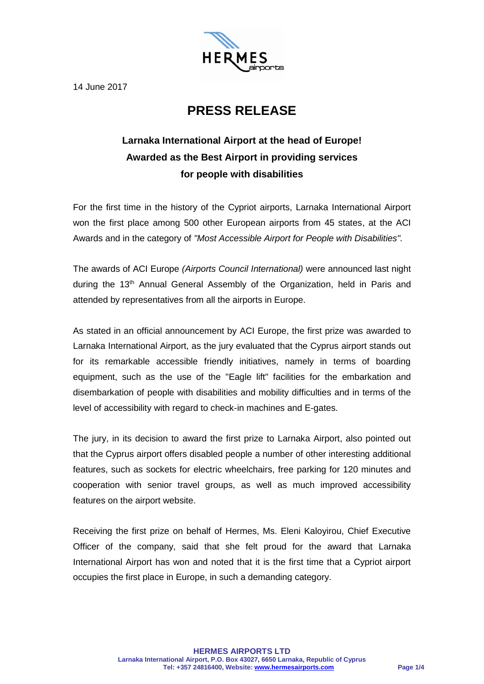

14 June 2017

## **PRESS RELEASE**

## **Larnaka International Airport at the head of Europe! Awarded as the Best Airport in providing services for people with disabilities**

For the first time in the history of the Cypriot airports, Larnaka International Airport won the first place among 500 other European airports from 45 states, at the ACI Awards and in the category of *"Most Accessible Airport for People with Disabilities".*

The awards of ACI Europe *(Airports Council International)* were announced last night during the 13<sup>th</sup> Annual General Assembly of the Organization, held in Paris and attended by representatives from all the airports in Europe.

As stated in an official announcement by ACI Europe, the first prize was awarded to Larnaka International Airport, as the jury evaluated that the Cyprus airport stands out for its remarkable accessible friendly initiatives, namely in terms of boarding equipment, such as the use of the "Eagle lift" facilities for the embarkation and disembarkation of people with disabilities and mobility difficulties and in terms of the level of accessibility with regard to check-in machines and E-gates.

The jury, in its decision to award the first prize to Larnaka Airport, also pointed out that the Cyprus airport offers disabled people a number of other interesting additional features, such as sockets for electric wheelchairs, free parking for 120 minutes and cooperation with senior travel groups, as well as much improved accessibility features on the airport website.

Receiving the first prize on behalf of Hermes, Ms. Eleni Kaloyirou, Chief Executive Officer of the company, said that she felt proud for the award that Larnaka International Airport has won and noted that it is the first time that a Cypriot airport occupies the first place in Europe, in such a demanding category.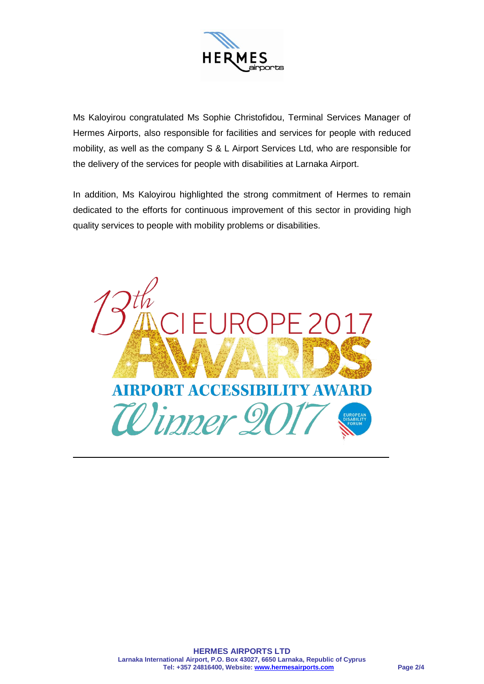

Ms Kaloyirou congratulated Ms Sophie Christofidou, Terminal Services Manager of Hermes Airports, also responsible for facilities and services for people with reduced mobility, as well as the company S & L Airport Services Ltd, who are responsible for the delivery of the services for people with disabilities at Larnaka Airport.

In addition, Ms Kaloyirou highlighted the strong commitment of Hermes to remain dedicated to the efforts for continuous improvement of this sector in providing high quality services to people with mobility problems or disabilities.

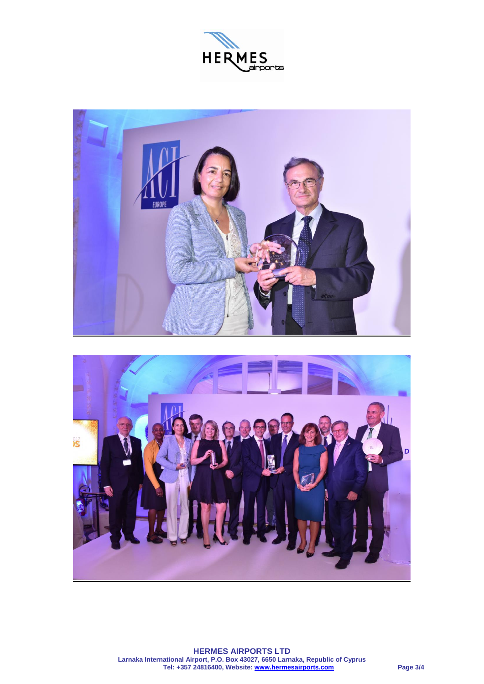